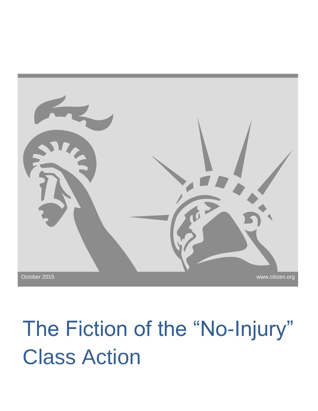

# The Fiction of the "No-Injury" Class Action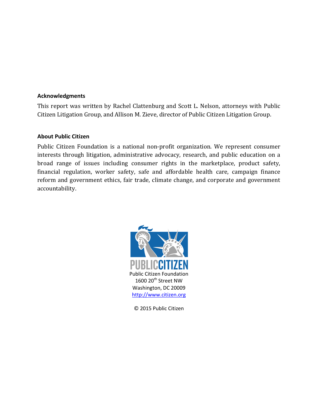#### **Acknowledgments**

This report was written by Rachel Clattenburg and Scott L. Nelson, attorneys with Public Citizen Litigation Group, and Allison M. Zieve, director of Public Citizen Litigation Group.

#### **About Public Citizen**

Public Citizen Foundation is a national non-profit organization. We represent consumer interests through litigation, administrative advocacy, research, and public education on a broad range of issues including consumer rights in the marketplace, product safety, financial regulation, worker safety, safe and affordable health care, campaign finance reform and government ethics, fair trade, climate change, and corporate and government accountability.



© 2015 Public Citizen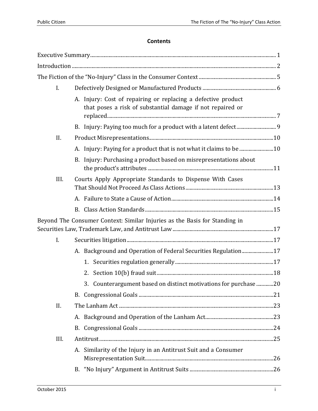# **Contents**

| I.   |                                                                                                                             |  |  |
|------|-----------------------------------------------------------------------------------------------------------------------------|--|--|
|      | A. Injury: Cost of repairing or replacing a defective product<br>that poses a risk of substantial damage if not repaired or |  |  |
|      |                                                                                                                             |  |  |
| II.  |                                                                                                                             |  |  |
|      | A. Injury: Paying for a product that is not what it claims to be 10                                                         |  |  |
|      | B. Injury: Purchasing a product based on misrepresentations about                                                           |  |  |
| III. | Courts Apply Appropriate Standards to Dispense With Cases                                                                   |  |  |
|      |                                                                                                                             |  |  |
|      |                                                                                                                             |  |  |
|      | Beyond The Consumer Context: Similar Injuries as the Basis for Standing in                                                  |  |  |
| I.   |                                                                                                                             |  |  |
|      | A. Background and Operation of Federal Securities Regulation17                                                              |  |  |
|      |                                                                                                                             |  |  |
|      |                                                                                                                             |  |  |
|      | 3. Counterargument based on distinct motivations for purchase 20                                                            |  |  |
|      |                                                                                                                             |  |  |
| II.  |                                                                                                                             |  |  |
|      |                                                                                                                             |  |  |
|      |                                                                                                                             |  |  |
| III. |                                                                                                                             |  |  |
|      | A. Similarity of the Injury in an Antitrust Suit and a Consumer                                                             |  |  |
|      |                                                                                                                             |  |  |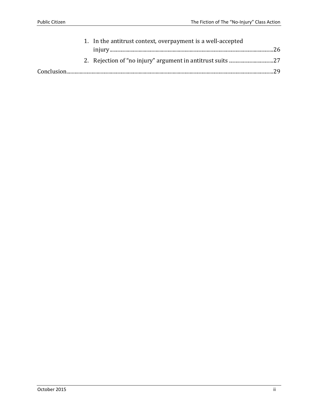|  | 1. In the antitrust context, overpayment is a well-accepted |  |
|--|-------------------------------------------------------------|--|
|  |                                                             |  |
|  |                                                             |  |
|  |                                                             |  |
|  |                                                             |  |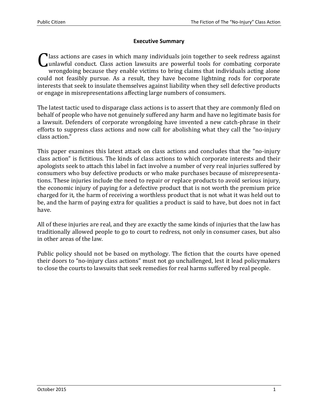#### **Executive Summary**

Class actions are cases in which many individuals join together to seek redress against<br>
unlawful conduct. Class action lawsuits are powerful tools for combating corporate unlawful conduct. Class action lawsuits are powerful tools for combating corporate wrongdoing because they enable victims to bring claims that individuals acting alone could not feasibly pursue. As a result, they have become lightning rods for corporate interests that seek to insulate themselves against liability when they sell defective products or engage in misrepresentations affecting large numbers of consumers.

The latest tactic used to disparage class actions is to assert that they are commonly filed on behalf of people who have not genuinely suffered any harm and have no legitimate basis for a lawsuit. Defenders of corporate wrongdoing have invented a new catch-phrase in their efforts to suppress class actions and now call for abolishing what they call the "no-injury class action."

This paper examines this latest attack on class actions and concludes that the "no-injury class action" is fictitious. The kinds of class actions to which corporate interests and their apologists seek to attach this label in fact involve a number of very real injuries suffered by consumers who buy defective products or who make purchases because of misrepresentations. These injuries include the need to repair or replace products to avoid serious injury, the economic injury of paying for a defective product that is not worth the premium price charged for it, the harm of receiving a worthless product that is not what it was held out to be, and the harm of paying extra for qualities a product is said to have, but does not in fact have.

All of these injuries are real, and they are exactly the same kinds of injuries that the law has traditionally allowed people to go to court to redress, not only in consumer cases, but also in other areas of the law.

Public policy should not be based on mythology. The fiction that the courts have opened their doors to "no-injury class actions" must not go unchallenged, lest it lead policymakers to close the courts to lawsuits that seek remedies for real harms suffered by real people.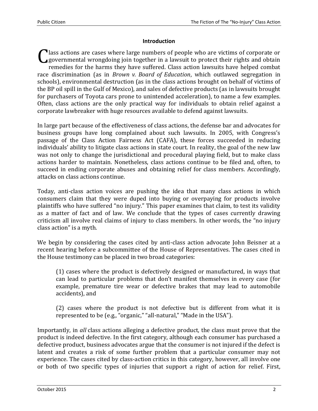#### **Introduction**

Class actions are cases where large numbers of people who are victims of corporate or governmental wrongdoing join together in a lawsuit to protect their rights and obtain governmental wrongdoing join together in a lawsuit to protect their rights and obtain remedies for the harms they have suffered. Class action lawsuits have helped combat race discrimination (as in *Brown v. Board of Education*, which outlawed segregation in schools), environmental destruction (as in the class actions brought on behalf of victims of the BP oil spill in the Gulf of Mexico), and sales of defective products (as in lawsuits brought for purchasers of Toyota cars prone to unintended acceleration), to name a few examples. Often, class actions are the only practical way for individuals to obtain relief against a corporate lawbreaker with huge resources available to defend against lawsuits.

In large part because of the effectiveness of class actions, the defense bar and advocates for business groups have long complained about such lawsuits. In 2005, with Congress's passage of the Class Action Fairness Act (CAFA), these forces succeeded in reducing individuals' ability to litigate class actions in state court. In reality, the goal of the new law was not only to change the jurisdictional and procedural playing field, but to make class actions harder to maintain. Nonetheless, class actions continue to be filed and, often, to succeed in ending corporate abuses and obtaining relief for class members. Accordingly, attacks on class actions continue.

Today, anti-class action voices are pushing the idea that many class actions in which consumers claim that they were duped into buying or overpaying for products involve plaintiffs who have suffered "no injury." This paper examines that claim, to test its validity as a matter of fact and of law. We conclude that the types of cases currently drawing criticism all involve real claims of injury to class members. In other words, the "no injury class action" is a myth.

We begin by considering the cases cited by anti-class action advocate John Beisner at a recent hearing before a subcommittee of the House of Representatives. The cases cited in the House testimony can be placed in two broad categories:

(1) cases where the product is defectively designed or manufactured, in ways that can lead to particular problems that don't manifest themselves in every case (for example, premature tire wear or defective brakes that may lead to automobile accidents), and

(2) cases where the product is not defective but is different from what it is represented to be (e.g., "organic," "all-natural," "Made in the USA").

Importantly, in *all* class actions alleging a defective product, the class must prove that the product is indeed defective. In the first category, although each consumer has purchased a defective product, business advocates argue that the consumer is not injured if the defect is latent and creates a risk of some further problem that a particular consumer may not experience. The cases cited by class-action critics in this category, however, all involve one or both of two specific types of injuries that support a right of action for relief. First,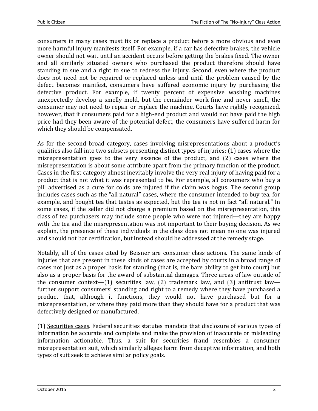consumers in many cases must fix or replace a product before a more obvious and even more harmful injury manifests itself. For example, if a car has defective brakes, the vehicle owner should not wait until an accident occurs before getting the brakes fixed. The owner and all similarly situated owners who purchased the product therefore should have standing to sue and a right to sue to redress the injury. Second, even where the product does not need not be repaired or replaced unless and until the problem caused by the defect becomes manifest, consumers have suffered economic injury by purchasing the defective product. For example, if twenty percent of expensive washing machines unexpectedly develop a smelly mold, but the remainder work fine and never smell, the consumer may not need to repair or replace the machine. Courts have rightly recognized, however, that if consumers paid for a high-end product and would not have paid the high price had they been aware of the potential defect, the consumers have suffered harm for which they should be compensated.

As for the second broad category, cases involving misrepresentations about a product's qualities also fall into two subsets presenting distinct types of injuries: (1) cases where the misrepresentation goes to the very essence of the product, and (2) cases where the misrepresentation is about some attribute apart from the primary function of the product. Cases in the first category almost inevitably involve the very real injury of having paid for a product that is not what it was represented to be. For example, all consumers who buy a pill advertised as a cure for colds are injured if the claim was bogus. The second group includes cases such as the "all natural" cases, where the consumer intended to buy tea, for example, and bought tea that tastes as expected, but the tea is not in fact "all natural." In some cases, if the seller did not charge a premium based on the misrepresentation, this class of tea purchasers may include some people who were not injured—they are happy with the tea and the misrepresentation was not important to their buying decision. As we explain, the presence of these individuals in the class does not mean no one was injured and should not bar certification, but instead should be addressed at the remedy stage.

Notably, all of the cases cited by Beisner are consumer class actions. The same kinds of injuries that are present in these kinds of cases are accepted by courts in a broad range of cases not just as a proper basis for standing (that is, the bare ability to get into court) but also as a proper basis for the award of substantial damages. Three areas of law outside of the consumer context—(1) securities law, (2) trademark law, and (3) antitrust law further support consumers' standing and right to a remedy where they have purchased a product that, although it functions, they would not have purchased but for a misrepresentation, or where they paid more than they should have for a product that was defectively designed or manufactured.

(1) Securities cases. Federal securities statutes mandate that disclosure of various types of information be accurate and complete and make the provision of inaccurate or misleading information actionable. Thus, a suit for securities fraud resembles a consumer misrepresentation suit, which similarly alleges harm from deceptive information, and both types of suit seek to achieve similar policy goals.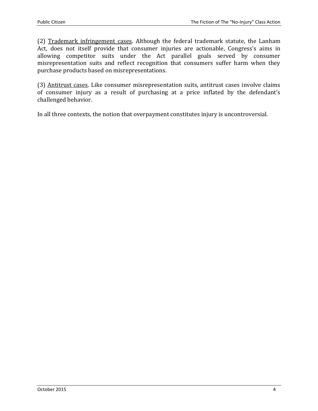(2) Trademark infringement cases. Although the federal trademark statute, the Lanham Act, does not itself provide that consumer injuries are actionable, Congress's aims in allowing competitor suits under the Act parallel goals served by consumer misrepresentation suits and reflect recognition that consumers suffer harm when they purchase products based on misrepresentations.

(3) Antitrust cases. Like consumer misrepresentation suits, antitrust cases involve claims of consumer injury as a result of purchasing at a price inflated by the defendant's challenged behavior.

In all three contexts, the notion that overpayment constitutes injury is uncontroversial.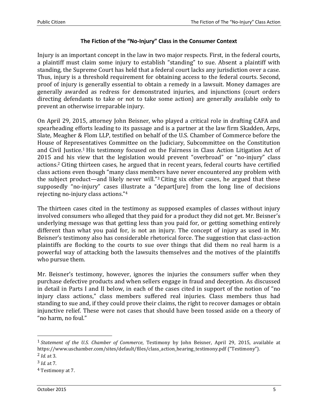#### **The Fiction of the "No-Injury" Class in the Consumer Context**

Injury is an important concept in the law in two major respects. First, in the federal courts, a plaintiff must claim some injury to establish "standing" to sue. Absent a plaintiff with standing, the Supreme Court has held that a federal court lacks any jurisdiction over a case. Thus, injury is a threshold requirement for obtaining access to the federal courts. Second, proof of injury is generally essential to obtain a remedy in a lawsuit. Money damages are generally awarded as redress for demonstrated injuries, and injunctions (court orders directing defendants to take or not to take some action) are generally available only to prevent an otherwise irreparable injury.

On April 29, 2015, attorney John Beisner, who played a critical role in drafting CAFA and spearheading efforts leading to its passage and is a partner at the law firm Skadden, Arps, Slate, Meagher & Flom LLP, testified on behalf of the U.S. Chamber of Commerce before the House of Representatives Committee on the Judiciary, Subcommittee on the Constitution and Civil Justice.<sup>1</sup> His testimony focused on the Fairness in Class Action Litigation Act of 2015 and his view that the legislation would prevent "overbroad" or "no-injury" class actions.<sup>2</sup> Citing thirteen cases, he argued that in recent years, federal courts have certified class actions even though "many class members have never encountered any problem with the subject product—and likely never will."<sup>3</sup> Citing six other cases, he argued that these supposedly "no-injury" cases illustrate a "depart[ure] from the long line of decisions rejecting no-injury class actions."<sup>4</sup>

The thirteen cases cited in the testimony as supposed examples of classes without injury involved consumers who alleged that they paid for a product they did not get. Mr. Beisner's underlying message was that getting less than you paid for, or getting something entirely different than what you paid for, is not an injury. The concept of injury as used in Mr. Beisner's testimony also has considerable rhetorical force. The suggestion that class-action plaintiffs are flocking to the courts to sue over things that did them no real harm is a powerful way of attacking both the lawsuits themselves and the motives of the plaintiffs who pursue them.

Mr. Beisner's testimony, however, ignores the injuries the consumers suffer when they purchase defective products and when sellers engage in fraud and deception. As discussed in detail in Parts I and II below, in each of the cases cited in support of the notion of "no injury class actions," class members suffered real injuries. Class members thus had standing to sue and, if they could prove their claims, the right to recover damages or obtain injunctive relief. These were not cases that should have been tossed aside on a theory of "no harm, no foul."

<sup>1</sup> *Statement of the U.S. Chamber of Commerce*, Testimony by John Beisner, April 29, 2015, available at https://www.uschamber.com/sites/default/files/class\_action\_hearing\_testimony.pdf ("Testimony"). 2 *Id.* at 3.

<sup>3</sup> *Id.* at 7.

<sup>4</sup> Testimony at 7.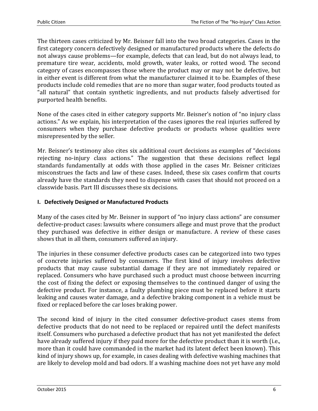The thirteen cases criticized by Mr. Beisner fall into the two broad categories. Cases in the first category concern defectively designed or manufactured products where the defects do not always cause problems—for example, defects that can lead, but do not always lead, to premature tire wear, accidents, mold growth, water leaks, or rotted wood. The second category of cases encompasses those where the product may or may not be defective, but in either event is different from what the manufacturer claimed it to be. Examples of these products include cold remedies that are no more than sugar water, food products touted as "all natural" that contain synthetic ingredients, and nut products falsely advertised for purported health benefits.

None of the cases cited in either category supports Mr. Beisner's notion of "no injury class actions." As we explain, his interpretation of the cases ignores the real injuries suffered by consumers when they purchase defective products or products whose qualities were misrepresented by the seller.

Mr. Beisner's testimony also cites six additional court decisions as examples of "decisions rejecting no-injury class actions." The suggestion that these decisions reflect legal standards fundamentally at odds with those applied in the cases Mr. Beisner criticizes misconstrues the facts and law of these cases. Indeed, these six cases confirm that courts already have the standards they need to dispense with cases that should not proceed on a classwide basis. Part III discusses these six decisions.

## **I. Defectively Designed or Manufactured Products**

Many of the cases cited by Mr. Beisner in support of "no injury class actions" are consumer defective-product cases: lawsuits where consumers allege and must prove that the product they purchased was defective in either design or manufacture. A review of these cases shows that in all them, consumers suffered an injury.

The injuries in these consumer defective products cases can be categorized into two types of concrete injuries suffered by consumers. The first kind of injury involves defective products that may cause substantial damage if they are not immediately repaired or replaced. Consumers who have purchased such a product must choose between incurring the cost of fixing the defect or exposing themselves to the continued danger of using the defective product. For instance, a faulty plumbing piece must be replaced before it starts leaking and causes water damage, and a defective braking component in a vehicle must be fixed or replaced before the car loses braking power.

The second kind of injury in the cited consumer defective-product cases stems from defective products that do not need to be replaced or repaired until the defect manifests itself. Consumers who purchased a defective product that has not yet manifested the defect have already suffered injury if they paid more for the defective product than it is worth (i.e., more than it could have commanded in the market had its latent defect been known). This kind of injury shows up, for example, in cases dealing with defective washing machines that are likely to develop mold and bad odors. If a washing machine does not yet have any mold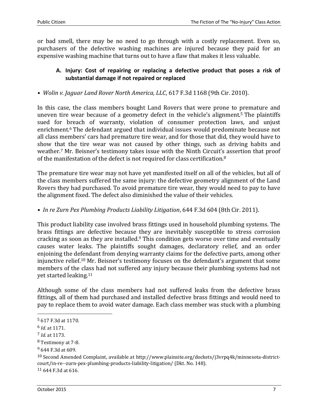or bad smell, there may be no need to go through with a costly replacement. Even so, purchasers of the defective washing machines are injured because they paid for an expensive washing machine that turns out to have a flaw that makes it less valuable.

# **A. Injury: Cost of repairing or replacing a defective product that poses a risk of substantial damage if not repaired or replaced**

*• Wolin v. Jaguar Land Rover North America, LLC*, 617 F.3d 1168 (9th Cir. 2010).

In this case, the class members bought Land Rovers that were prone to premature and uneven tire wear because of a geometry defect in the vehicle's alignment.<sup>5</sup> The plaintiffs sued for breach of warranty, violation of consumer protection laws, and unjust enrichment.<sup>6</sup> The defendant argued that individual issues would predominate because not all class members' cars had premature tire wear, and for those that did, they would have to show that the tire wear was not caused by other things, such as driving habits and weather.<sup>7</sup> Mr. Beisner's testimony takes issue with the Ninth Circuit's assertion that proof of the manifestation of the defect is not required for class certification.<sup>8</sup>

The premature tire wear may not have yet manifested itself on all of the vehicles, but all of the class members suffered the same injury: the defective geometry alignment of the Land Rovers they had purchased. To avoid premature tire wear, they would need to pay to have the alignment fixed. The defect also diminished the value of their vehicles.

*• In re Zurn Pex Plumbing Products Liability Litigation*, 644 F.3d 604 (8th Cir. 2011).

This product liability case involved brass fittings used in household plumbing systems. The brass fittings are defective because they are inevitably susceptible to stress corrosion cracking as soon as they are installed.<sup>9</sup> This condition gets worse over time and eventually causes water leaks. The plaintiffs sought damages, declaratory relief, and an order enjoining the defendant from denying warranty claims for the defective parts, among other injunctive relief. <sup>10</sup> Mr. Beisner's testimony focuses on the defendant's argument that some members of the class had not suffered any injury because their plumbing systems had not yet started leaking.<sup>11</sup>

Although some of the class members had not suffered leaks from the defective brass fittings, all of them had purchased and installed defective brass fittings and would need to pay to replace them to avoid water damage. Each class member was stuck with a plumbing

l

11 644 F.3d at 616.

<sup>5</sup> 617 F.3d at 1170.

<sup>6</sup> *Id.* at 1171.

<sup>7</sup> *Id.* at 1173.

<sup>8</sup> Testimony at 7-8.

<sup>9</sup> 644 F.3d at 609.

<sup>&</sup>lt;sup>10</sup> Second Amended Complaint, available at http://www.plainsite.org/dockets/j3vrpq4k/minnesota-districtcourt/in-re--zurn-pex-plumbing-products-liability-litigation/ (Dkt. No. 148).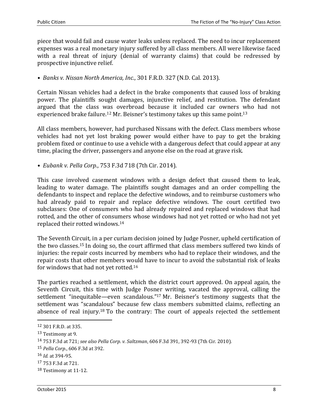piece that would fail and cause water leaks unless replaced. The need to incur replacement expenses was a real monetary injury suffered by all class members. All were likewise faced with a real threat of injury (denial of warranty claims) that could be redressed by prospective injunctive relief.

*• Banks v. Nissan North America, Inc.*, 301 F.R.D. 327 (N.D. Cal. 2013).

Certain Nissan vehicles had a defect in the brake components that caused loss of braking power. The plaintiffs sought damages, injunctive relief, and restitution. The defendant argued that the class was overbroad because it included car owners who had not experienced brake failure.<sup>12</sup> Mr. Beisner's testimony takes up this same point.<sup>13</sup>

All class members, however, had purchased Nissans with the defect. Class members whose vehicles had not yet lost braking power would either have to pay to get the braking problem fixed or continue to use a vehicle with a dangerous defect that could appear at any time, placing the driver, passengers and anyone else on the road at grave risk.

*• Eubank v. Pella Corp.*, 753 F.3d 718 (7th Cir. 2014).

This case involved casement windows with a design defect that caused them to leak, leading to water damage. The plaintiffs sought damages and an order compelling the defendants to inspect and replace the defective windows, and to reimburse customers who had already paid to repair and replace defective windows. The court certified two subclasses: One of consumers who had already repaired and replaced windows that had rotted, and the other of consumers whose windows had not yet rotted or who had not yet replaced their rotted windows.<sup>14</sup>

The Seventh Circuit, in a per curiam decision joined by Judge Posner, upheld certification of the two classes.<sup>15</sup> In doing so, the court affirmed that class members suffered two kinds of injuries: the repair costs incurred by members who had to replace their windows, and the repair costs that other members would have to incur to avoid the substantial risk of leaks for windows that had not yet rotted.<sup>16</sup>

The parties reached a settlement, which the district court approved. On appeal again, the Seventh Circuit, this time with Judge Posner writing, vacated the approval, calling the settlement "inequitable—even scandalous."<sup>17</sup> Mr. Beisner's testimony suggests that the settlement was "scandalous" because few class members submitted claims, reflecting an absence of real injury.<sup>18</sup> To the contrary: The court of appeals rejected the settlement

 $\overline{\phantom{0}}$ 

<sup>12</sup> 301 F.R.D. at 335.

<sup>13</sup> Testimony at 9.

<sup>14</sup> 753 F.3d at 721; *see also Pella Corp. v. Saltzman*, 606 F.3d 391, 392-93 (7th Cir. 2010)*.*

<sup>15</sup> *Pella Corp.*, 606 F.3d at 392.

<sup>16</sup> *Id.* at 394-95.

<sup>17</sup> 753 F.3d at 721.

<sup>18</sup> Testimony at 11-12.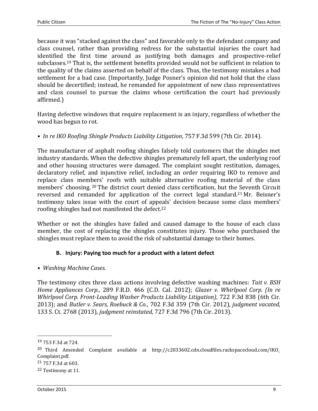because it was "stacked against the class" and favorable only to the defendant company and class counsel, rather than providing redress for the substantial injuries the court had identified the first time around as justifying both damages and prospective-relief subclasses. <sup>19</sup> That is, the settlement benefits provided would not be sufficient in relation to the quality of the claims asserted on behalf of the class. Thus, the testimony mistakes a bad settlement for a bad case. (Importantly, Judge Posner's opinion did not hold that the class should be decertified; instead, he remanded for appointment of new class representatives and class counsel to pursue the claims whose certification the court had previously affirmed.)

Having defective windows that require replacement is an injury, regardless of whether the wood has begun to rot.

*• In re IKO Roofing Shingle Products Liability Litigation*, 757 F.3d 599 (7th Cir. 2014).

The manufacturer of asphalt roofing shingles falsely told customers that the shingles met industry standards. When the defective shingles prematurely fell apart, the underlying roof and other housing structures were damaged. The complaint sought restitution, damages, declaratory relief, and injunctive relief, including an order requiring IKO to remove and replace class members' roofs with suitable alternative roofing material of the class members' choosing. <sup>20</sup> The district court denied class certification, but the Seventh Circuit reversed and remanded for application of the correct legal standard.<sup>21</sup> Mr. Beisner's testimony takes issue with the court of appeals' decision because some class members' roofing shingles had not manifested the defect.<sup>22</sup>

Whether or not the shingles have failed and caused damage to the house of each class member, the cost of replacing the shingles constitutes injury. Those who purchased the shingles must replace them to avoid the risk of substantial damage to their homes.

# **B. Injury: Paying too much for a product with a latent defect**

*• Washing Machine Cases.*

The testimony cites three class actions involving defective washing machines: *Tait v. BSH Home Appliances Corp.*, 289 F.R.D. 466 (C.D. Cal. 2012); *Glazer v. Whirlpool Corp. (In re Whirlpool Corp. Front-Loading Washer Products Liability Litigation)*, 722 F.3d 838 (6th Cir. 2013); and *Butler v. Sears, Roebuck & Co.*, 702 F.3d 359 (7th Cir. 2012), *judgment vacated,* 133 S. Ct. 2768 (2013), *judgment reinstated,* 727 F.3d 796 (7th Cir. 2013).

- 20 Third Amended Complaint available at http://c2033602.cdn.cloudfiles.rackspacecloud.com/IKO\_ Complaint.pdf.
- 21 757 F.3d at 603.

<sup>19</sup> 753 F.3d at 724.

<sup>22</sup> Testimony at 11.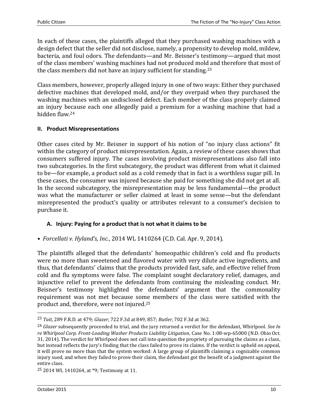In each of these cases, the plaintiffs alleged that they purchased washing machines with a design defect that the seller did not disclose, namely, a propensity to develop mold, mildew, bacteria, and foul odors. The defendants—and Mr. Beisner's testimony—argued that most of the class members' washing machines had not produced mold and therefore that most of the class members did not have an injury sufficient for standing.<sup>23</sup>

Class members, however, properly alleged injury in one of two ways: Either they purchased defective machines that developed mold, and/or they overpaid when they purchased the washing machines with an undisclosed defect. Each member of the class properly claimed an injury because each one allegedly paid a premium for a washing machine that had a hidden flaw.<sup>24</sup>

## **II. Product Misrepresentations**

Other cases cited by Mr. Beisner in support of his notion of "no injury class actions" fit within the category of product misrepresentation. Again, a review of these cases shows that consumers suffered injury. The cases involving product misrepresentations also fall into two subcategories. In the first subcategory, the product was different from what it claimed to be—for example, a product sold as a cold remedy that in fact is a worthless sugar pill. In these cases, the consumer was injured because she paid for something she did not get at all. In the second subcategory, the misrepresentation may be less fundamental—the product was what the manufacturer or seller claimed at least in some sense—but the defendant misrepresented the product's quality or attributes relevant to a consumer's decision to purchase it.

# **A. Injury: Paying for a product that is not what it claims to be**

*• Forcellati v. Hyland's, Inc.*, 2014 WL 1410264 (C.D. Cal. Apr. 9, 2014).

The plaintiffs alleged that the defendants' homeopathic children's cold and flu products were no more than sweetened and flavored water with very dilute active ingredients, and thus, that defendants' claims that the products provided fast, safe, and effective relief from cold and flu symptoms were false. The complaint sought declaratory relief, damages, and injunctive relief to prevent the defendants from continuing the misleading conduct. Mr. Beisner's testimony highlighted the defendants' argument that the commonality requirement was not met because some members of the class were satisfied with the product and, therefore, were not injured.<sup>25</sup>

<sup>23</sup> *Tait*, 289 F.R.D. at 479; *Glazer*, 722 F.3d at 849, 857; *Butler*, 702 F.3d at 362.

<sup>24</sup> *Glazer* subsequently proceeded to trial, and the jury returned a verdict for the defendant, Whirlpool. *See In re Whirlpool Corp. Front-Loading Washer Products Liability Litigation*, Case No. 1:08-wp-65000 (N.D. Ohio Oct. 31, 2014). The verdict for Whirlpool does not call into question the propriety of pursuing the claims as a class, but instead reflects the jury's finding that the class failed to prove its claims. If the verdict is upheld on appeal, it will prove no more than that the system worked: A large group of plaintiffs claiming a cognizable common injury sued, and when they failed to prove their claim, the defendant got the benefit of a judgment against the entire class.

<sup>25</sup> 2014 WL 1410264, at \*9; Testimony at 11.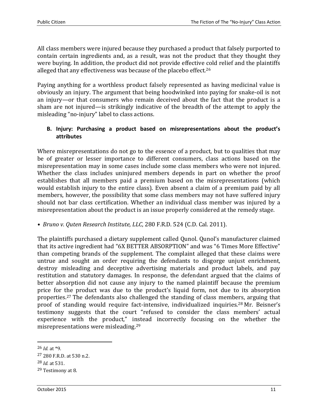All class members were injured because they purchased a product that falsely purported to contain certain ingredients and, as a result, was not the product that they thought they were buying. In addition, the product did not provide effective cold relief and the plaintiffs alleged that any effectiveness was because of the placebo effect.<sup>26</sup>

Paying anything for a worthless product falsely represented as having medicinal value is obviously an injury. The argument that being hoodwinked into paying for snake-oil is not an injury—or that consumers who remain deceived about the fact that the product is a sham are not injured—is strikingly indicative of the breadth of the attempt to apply the misleading "no-injury" label to class actions.

# **B. Injury: Purchasing a product based on misrepresentations about the product's attributes**

Where misrepresentations do not go to the essence of a product, but to qualities that may be of greater or lesser importance to different consumers, class actions based on the misrepresentation may in some cases include some class members who were not injured. Whether the class includes uninjured members depends in part on whether the proof establishes that all members paid a premium based on the misrepresentations (which would establish injury to the entire class). Even absent a claim of a premium paid by all members, however, the possibility that some class members may not have suffered injury should not bar class certification. Whether an individual class member was injured by a misrepresentation about the product is an issue properly considered at the remedy stage.

*• Bruno v. Quten Research Institute, LLC*, 280 F.R.D. 524 (C.D. Cal. 2011).

The plaintiffs purchased a dietary supplement called Qunol. Qunol's manufacturer claimed that its active ingredient had "6X BETTER ABSORPTION" and was "6 Times More Effective" than competing brands of the supplement. The complaint alleged that these claims were untrue and sought an order requiring the defendants to disgorge unjust enrichment, destroy misleading and deceptive advertising materials and product labels, and pay restitution and statutory damages. In response, the defendant argued that the claims of better absorption did not cause any injury to the named plaintiff because the premium price for the product was due to the product's liquid form, not due to its absorption properties.<sup>27</sup> The defendants also challenged the standing of class members, arguing that proof of standing would require fact-intensive, individualized inquiries.<sup>28</sup> Mr. Beisner's testimony suggests that the court "refused to consider the class members' actual experience with the product," instead incorrectly focusing on the whether the misrepresentations were misleading.<sup>29</sup>

 $26$  *Id.* at  $*9$ .

<sup>27</sup> 280 F.R.D. at 530 n.2.

<sup>28</sup> *Id.* at 531.

<sup>29</sup> Testimony at 8.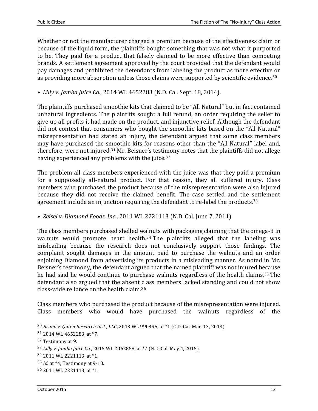Whether or not the manufacturer charged a premium because of the effectiveness claim or because of the liquid form, the plaintiffs bought something that was not what it purported to be. They paid for a product that falsely claimed to be more effective than competing brands. A settlement agreement approved by the court provided that the defendant would pay damages and prohibited the defendants from labeling the product as more effective or as providing more absorption unless those claims were supported by scientific evidence.<sup>30</sup>

*• Lilly v. Jamba Juice Co.*, 2014 WL 4652283 (N.D. Cal. Sept. 18, 2014).

The plaintiffs purchased smoothie kits that claimed to be "All Natural" but in fact contained unnatural ingredients. The plaintiffs sought a full refund, an order requiring the seller to give up all profits it had made on the product, and injunctive relief. Although the defendant did not contest that consumers who bought the smoothie kits based on the "All Natural" misrepresentation had stated an injury, the defendant argued that some class members may have purchased the smoothie kits for reasons other than the "All Natural" label and, therefore, were not injured.<sup>31</sup> Mr. Beisner's testimony notes that the plaintiffs did not allege having experienced any problems with the juice.<sup>32</sup>

The problem all class members experienced with the juice was that they paid a premium for a supposedly all-natural product. For that reason, they all suffered injury. Class members who purchased the product because of the misrepresentation were also injured because they did not receive the claimed benefit. The case settled and the settlement agreement include an injunction requiring the defendant to re-label the products.<sup>33</sup>

*• Zeisel v. Diamond Foods, Inc.*, 2011 WL 2221113 (N.D. Cal. June 7, 2011).

The class members purchased shelled walnuts with packaging claiming that the omega-3 in walnuts would promote heart health.<sup>34</sup> The plaintiffs alleged that the labeling was misleading because the research does not conclusively support those findings. The complaint sought damages in the amount paid to purchase the walnuts and an order enjoining Diamond from advertising its products in a misleading manner. As noted in Mr. Beisner's testimony, the defendant argued that the named plaintiff was not injured because he had said he would continue to purchase walnuts regardless of the health claims.<sup>35</sup> The defendant also argued that the absent class members lacked standing and could not show class-wide reliance on the health claim.<sup>36</sup>

Class members who purchased the product because of the misrepresentation were injured. Class members who would have purchased the walnuts regardless of the

 $\overline{\phantom{0}}$ 

<sup>30</sup> *Bruno v. Quten Research Inst., LLC*, 2013 WL 990495, at \*1 (C.D. Cal. Mar. 13, 2013).

<sup>31</sup> 2014 WL 4652283, at \*7.

<sup>32</sup> Testimony at 9.

<sup>33</sup> *Lilly v. Jamba Juice Co.*, 2015 WL 2062858, at \*7 (N.D. Cal. May 4, 2015).

<sup>34</sup> 2011 WL 2221113, at \*1.

<sup>35</sup> *Id.* at \*4; Testimony at 9-10.

<sup>36</sup> 2011 WL 2221113, at \*1.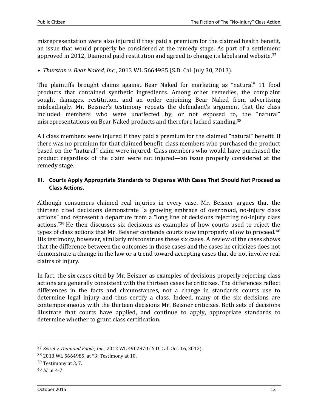misrepresentation were also injured if they paid a premium for the claimed health benefit, an issue that would properly be considered at the remedy stage. As part of a settlement approved in 2012, Diamond paid restitution and agreed to change its labels and website.<sup>37</sup>

*• Thurston v. Bear Naked, Inc.*, 2013 WL 5664985 (S.D. Cal. July 30, 2013).

The plaintiffs brought claims against Bear Naked for marketing as "natural" 11 food products that contained synthetic ingredients. Among other remedies, the complaint sought damages, restitution, and an order enjoining Bear Naked from advertising misleadingly. Mr. Beisner's testimony repeats the defendant's argument that the class included members who were unaffected by, or not exposed to, the "natural" misrepresentations on Bear Naked products and therefore lacked standing.<sup>38</sup>

All class members were injured if they paid a premium for the claimed "natural" benefit. If there was no premium for that claimed benefit, class members who purchased the product based on the "natural" claim were injured. Class members who would have purchased the product regardless of the claim were not injured—an issue properly considered at the remedy stage.

## **III. Courts Apply Appropriate Standards to Dispense With Cases That Should Not Proceed as Class Actions.**

Although consumers claimed real injuries in every case, Mr. Beisner argues that the thirteen cited decisions demonstrate "a growing embrace of overbroad, no-injury class actions" and represent a departure from a "long line of decisions rejecting no-injury class actions."<sup>39</sup> He then discusses six decisions as examples of how courts used to reject the types of class actions that Mr. Beisner contends courts now improperly allow to proceed.<sup>40</sup> His testimony, however, similarly misconstrues these six cases. A review of the cases shows that the difference between the outcomes in those cases and the cases he criticizes does not demonstrate a change in the law or a trend toward accepting cases that do not involve real claims of injury.

In fact, the six cases cited by Mr. Beisner as examples of decisions properly rejecting class actions are generally consistent with the thirteen cases he criticizes. The differences reflect differences in the facts and circumstances, not a change in standards courts use to determine legal injury and thus certify a class. Indeed, many of the six decisions are contemporaneous with the thirteen decisions Mr. Beisner criticizes. Both sets of decisions illustrate that courts have applied, and continue to apply, appropriate standards to determine whether to grant class certification.

<sup>37</sup> *Zeisel v. Diamond Foods, Inc.*, 2012 WL 4902970 (N.D. Cal. Oct. 16, 2012).

<sup>38</sup> 2013 WL 5664985, at \*3; Testimony at 10.

<sup>39</sup> Testimony at 3, 7.

<sup>40</sup> *Id*. at 4-7.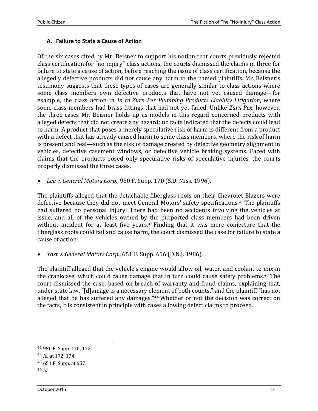## **A. Failure to State a Cause of Action**

Of the six cases cited by Mr. Beisner to support his notion that courts previously rejected class certification for "no-injury" class actions, the courts dismissed the claims in three for failure to state a cause of action, before reaching the issue of class certification, because the allegedly defective products did not cause any harm to the named plaintiffs. Mr. Beisner's testimony suggests that these types of cases are generally similar to class actions where some class members own defective products that have not yet caused damage—for example, the class action in *In re Zurn Pex Plumbing Products Liability Litigation*, where some class members had brass fittings that had not yet failed. Unlike *Zurn Pex*, however, the three cases Mr. Beisner holds up as models in this regard concerned products with alleged defects that did not create any hazard; no facts indicated that the defects could lead to harm. A product that poses a merely speculative risk of harm is different from a product with a defect that has already caused harm to some class members, where the risk of harm is present and real—such as the risk of damage created by defective geometry alignment in vehicles, defective casement windows, or defective vehicle braking systems. Faced with claims that the products posed only speculative risks of speculative injuries, the courts properly dismissed the three cases.

*Lee v. General Motors Corp.,* 950 F. Supp. 170 (S.D. Miss. 1996).

The plaintiffs alleged that the detachable fiberglass roofs on their Chevrolet Blazers were defective because they did not meet General Motors' safety specifications.<sup>41</sup> The plaintiffs had suffered no personal injury: There had been no accidents involving the vehicles at issue, and all of the vehicles owned by the purported class members had been driven without incident for at least five years.<sup>42</sup> Finding that it was mere conjecture that the fiberglass roofs could fail and cause harm, the court dismissed the case for failure to state a cause of action.

*Yost v. General Motors Corp.*, 651 F. Supp. 656 (D.N.J. 1986).

The plaintiff alleged that the vehicle's engine would allow oil, water, and coolant to mix in the crankcase, which could cause damage that in turn could cause safety problems.<sup>43</sup> The court dismissed the case, based on breach of warranty and fraud claims, explaining that, under state law, "[d]amage is a necessary element of both counts," and the plaintiff "has not alleged that he has suffered any damages."<sup>44</sup> Whether or not the decision was correct on the facts, it is consistent in principle with cases allowing defect claims to proceed.

<sup>41</sup> 950 F. Supp. 170, 172.

<sup>42</sup> *Id.* at 172, 174.

<sup>43</sup> 651 F. Supp. at 657.

<sup>44</sup> *Id*.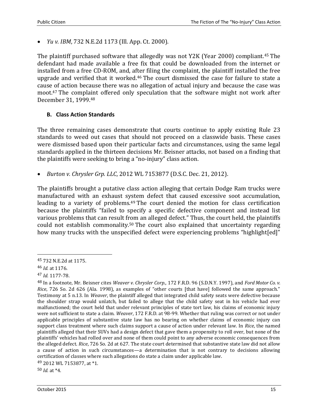*Yu v. IBM*, 732 N.E.2d 1173 (Ill. App. Ct. 2000).

The plaintiff purchased software that allegedly was not Y2K (Year 2000) compliant.<sup>45</sup> The defendant had made available a free fix that could be downloaded from the internet or installed from a free CD-ROM, and, after filing the complaint, the plaintiff installed the free upgrade and verified that it worked.<sup>46</sup> The court dismissed the case for failure to state a cause of action because there was no allegation of actual injury and because the case was moot.<sup>47</sup> The complaint offered only speculation that the software might not work after December 31, 1999.<sup>48</sup>

## **B. Class Action Standards**

The three remaining cases demonstrate that courts continue to apply existing Rule 23 standards to weed out cases that should not proceed on a classwide basis. These cases were dismissed based upon their particular facts and circumstances, using the same legal standards applied in the thirteen decisions Mr. Beisner attacks, not based on a finding that the plaintiffs were seeking to bring a "no-injury" class action.

*Burton v. Chrysler Grp. LLC*, 2012 WL 7153877 (D.S.C. Dec. 21, 2012).

The plaintiffs brought a putative class action alleging that certain Dodge Ram trucks were manufactured with an exhaust system defect that caused excessive soot accumulation, leading to a variety of problems.<sup>49</sup> The court denied the motion for class certification because the plaintiffs "failed to specify a specific defective component and instead list various problems that can result from an alleged defect." Thus, the court held, the plaintiffs could not establish commonality.<sup>50</sup> The court also explained that uncertainty regarding how many trucks with the unspecified defect were experiencing problems "highlight[ed]"

<sup>45</sup> 732 N.E.2d at 1175.

<sup>46</sup> *Id.* at 1176.

<sup>47</sup> *Id.* 1177-78.

<sup>48</sup> In a footnote, Mr. Beisner cites *Weaver v. Chrysler Corp.*, 172 F.R.D. 96 (S.D.N.Y. 1997), and *Ford Motor Co. v. Rice*, 726 So. 2d 626 (Ala. 1998), as examples of "other courts [that have] followed the same approach." Testimony at 5 n.13. In *Weaver*, the plaintiff alleged that integrated child safety seats were defective because the shoulder strap would unlatch, but failed to allege that the child safety seat in his vehicle had ever malfunctioned; the court held that under relevant principles of state tort law, his claims of economic injury were not sufficient to state a claim. *Weaver*, 172 F.R.D. at 98-99. Whether that ruling was correct or not under applicable principles of substantive state law has no bearing on whether claims of economic injury can support class treatment where such claims support a cause of action under relevant law. In *Rice*, the named plaintiffs alleged that their SUVs had a design defect that gave them a propensity to roll over, but none of the plaintiffs' vehicles had rolled over and none of them could point to any adverse economic consequences from the alleged defect. *Rice*, 726 So. 2d at 627. The state court determined that substantive state law did not allow a cause of action in such circumstances—a determination that is not contrary to decisions allowing certification of classes where such allegations do state a claim under applicable law.

<sup>49</sup> 2012 WL 7153877, at \*1.

<sup>50</sup> *Id.* at \*4.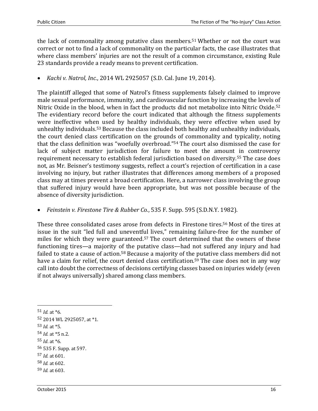the lack of commonality among putative class members.<sup>51</sup> Whether or not the court was correct or not to find a lack of commonality on the particular facts, the case illustrates that where class members' injuries are not the result of a common circumstance, existing Rule 23 standards provide a ready means to prevent certification.

*Kachi v. Natrol, Inc.*, 2014 WL 2925057 (S.D. Cal. June 19, 2014).

The plaintiff alleged that some of Natrol's fitness supplements falsely claimed to improve male sexual performance, immunity, and cardiovascular function by increasing the levels of Nitric Oxide in the blood, when in fact the products did not metabolize into Nitric Oxide.<sup>52</sup> The evidentiary record before the court indicated that although the fitness supplements were ineffective when used by healthy individuals, they were effective when used by unhealthy individuals.<sup>53</sup> Because the class included both healthy and unhealthy individuals, the court denied class certification on the grounds of commonality and typicality, noting that the class definition was "woefully overbroad."<sup>54</sup> The court also dismissed the case for lack of subject matter jurisdiction for failure to meet the amount in controversy requirement necessary to establish federal jurisdiction based on diversity.<sup>55</sup> The case does not, as Mr. Beisner's testimony suggests, reflect a court's rejection of certification in a case involving no injury, but rather illustrates that differences among members of a proposed class may at times prevent a broad certification. Here, a narrower class involving the group that suffered injury would have been appropriate, but was not possible because of the absence of diversity jurisdiction.

*Feinstein v. Firestone Tire & Rubber Co.*, 535 F. Supp. 595 (S.D.N.Y. 1982).

These three consolidated cases arose from defects in Firestone tires.<sup>56</sup> Most of the tires at issue in the suit "led full and uneventful lives," remaining failure-free for the number of miles for which they were guaranteed.<sup>57</sup> The court determined that the owners of these functioning tires—a majority of the putative class—had not suffered any injury and had failed to state a cause of action.<sup>58</sup> Because a majority of the putative class members did not have a claim for relief, the court denied class certification.<sup>59</sup> The case does not in any way call into doubt the correctness of decisions certifying classes based on injuries widely (even if not always universally) shared among class members.

53 *Id.* at \*5.

 $\overline{a}$ 

- 54 *Id.* at \*5 n.2.
- 55 *Id*. at \*6.
- 56 535 F. Supp. at 597.
- 57 *Id.* at 601.
- 58 *Id.* at 602.
- 59 *Id.* at 603.

 $51$  *Id.* at  $*6$ .

<sup>52</sup> 2014 WL 2925057, at \*1.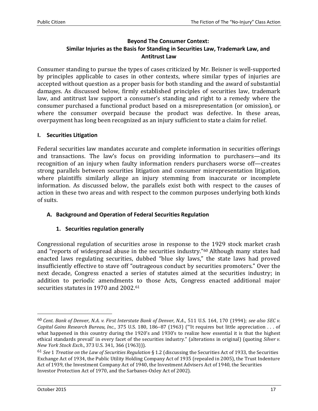## **Beyond The Consumer Context: Similar Injuries as the Basis for Standing in Securities Law, Trademark Law, and Antitrust Law**

Consumer standing to pursue the types of cases criticized by Mr. Beisner is well-supported by principles applicable to cases in other contexts, where similar types of injuries are accepted without question as a proper basis for both standing and the award of substantial damages. As discussed below, firmly established principles of securities law, trademark law, and antitrust law support a consumer's standing and right to a remedy where the consumer purchased a functional product based on a misrepresentation (or omission), or where the consumer overpaid because the product was defective. In these areas, overpayment has long been recognized as an injury sufficient to state a claim for relief.

## **I. Securities Litigation**

Federal securities law mandates accurate and complete information in securities offerings and transactions. The law's focus on providing information to purchasers—and its recognition of an injury when faulty information renders purchasers worse off—creates strong parallels between securities litigation and consumer misrepresentation litigation, where plaintiffs similarly allege an injury stemming from inaccurate or incomplete information. As discussed below, the parallels exist both with respect to the causes of action in these two areas and with respect to the common purposes underlying both kinds of suits.

## **A. Background and Operation of Federal Securities Regulation**

## **1. Securities regulation generally**

Congressional regulation of securities arose in response to the 1929 stock market crash and "reports of widespread abuse in the securities industry."<sup>60</sup> Although many states had enacted laws regulating securities, dubbed "blue sky laws," the state laws had proved insufficiently effective to stave off "outrageous conduct by securities promoters." Over the next decade, Congress enacted a series of statutes aimed at the securities industry; in addition to periodic amendments to those Acts, Congress enacted additional major securities statutes in 1970 and 2002.<sup>61</sup>

<sup>60</sup> *Cent. Bank of Denver, N.A. v. First Interstate Bank of Denver, N.A*., 511 U.S. 164, 170 (1994); *see also SEC v. Capital Gains Research Bureau, Inc.*, 375 U.S. 180, 186–87 (1963) ("'It requires but little appreciation . . . of what happened in this country during the 1920's and 1930's to realize how essential it is that the highest ethical standards prevail' in every facet of the securities industry." (alterations in original) (quoting *Silver v. New York Stock Exch*., 373 U.S. 341, 366 (1963))).

<sup>61</sup> *See* 1 *Treatise on the Law of Securities Regulation* § 1.2 (discussing the Securities Act of 1933, the Securities Exchange Act of 1934, the Public Utility Holding Company Act of 1935 (repealed in 2005), the Trust Indenture Act of 1939, the Investment Company Act of 1940, the Investment Advisers Act of 1940, the Securities Investor Protection Act of 1970, and the Sarbanes-Oxley Act of 2002).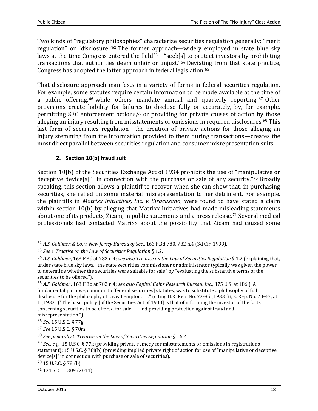Two kinds of "regulatory philosophies" characterize securities regulation generally: "merit regulation" or "disclosure."<sup>62</sup> The former approach—widely employed in state blue sky laws at the time Congress entered the field<sup>63</sup>—"seek[s] to protect investors by prohibiting transactions that authorities deem unfair or unjust."<sup>64</sup> Deviating from that state practice, Congress has adopted the latter approach in federal legislation.<sup>65</sup>

That disclosure approach manifests in a variety of forms in federal securities regulation. For example, some statutes require certain information to be made available at the time of a public offering, <sup>66</sup> while others mandate annual and quarterly reporting. <sup>67</sup> Other provisions create liability for failures to disclose fully or accurately, by, for example, permitting SEC enforcement actions,<sup>68</sup> or providing for private causes of action by those alleging an injury resulting from misstatements or omissions in required disclosures.<sup>69</sup> This last form of securities regulation—the creation of private actions for those alleging an injury stemming from the information provided to them during transactions—creates the most direct parallel between securities regulation and consumer misrepresentation suits.

## **2. Section 10(b) fraud suit**

Section 10(b) of the Securities Exchange Act of 1934 prohibits the use of "manipulative or deceptive device[s]" "in connection with the purchase or sale of any security."<sup>70</sup> Broadly speaking, this section allows a plaintiff to recover when she can show that, in purchasing securities, she relied on some material misrepresentation to her detriment. For example, the plaintiffs in *Matrixx Initiatives, Inc. v. Siracusano*, were found to have stated a claim within section 10(b) by alleging that Matrixx Initiatives had made misleading statements about one of its products, Zicam, in public statements and a press release.<sup>71</sup> Several medical professionals had contacted Matrixx about the possibility that Zicam had caused some

l

71 131 S. Ct. 1309 (2011).

<sup>62</sup> *A.S. Goldmen & Co. v. New Jersey Bureau of Sec*., 163 F.3d 780, 782 n.4 (3d Cir. 1999).

<sup>63</sup> *See* 1 *Treatise on the Law of Securities Regulation* § 1.2.

<sup>64</sup> *A.S. Goldmen*, 163 F.3d at 782 n.4; *see also Treatise on the Law of Securities Regulation* § 1.2 (explaining that, under state blue sky laws, "the state securities commissioner or administrator typically was given the power to determine whether the securities were suitable for sale" by "evaluating the substantive terms of the securities to be offered").

<sup>65</sup> *A.S. Goldmen*, 163 F.3d at 782 n.4; *see also Capital Gains Research Bureau, Inc.*, 375 U.S. at 186 ("A fundamental purpose, common to [federal securities] statutes, was to substitute a philosophy of full disclosure for the philosophy of caveat emptor . . . ." (citing H.R. Rep. No. 73-85 (1933))); S. Rep. No. 73-47, at 1 (1933) ("The basic policy [of the Securities Act of 1933] is that of informing the investor of the facts concerning securities to be offered for sale . . . and providing protection against fraud and misrepresentation.").

<sup>66</sup> *See* 15 U.S.C. § 77g.

<sup>67</sup> *See* 15 U.S.C. § 78m.

<sup>68</sup> *See generally* 6 *Treatise on the Law of Securities Regulation* § 16.2

<sup>69</sup> *See, e.g.*, 15 U.S.C. § 77k (providing private remedy for misstatements or omissions in registrations statement); 15 U.S.C. § 78j(b) (providing implied private right of action for use of "manipulative or deceptive device[s]" in connection with purchase or sale of securities).

<sup>70</sup> 15 U.S.C. § 78j(b).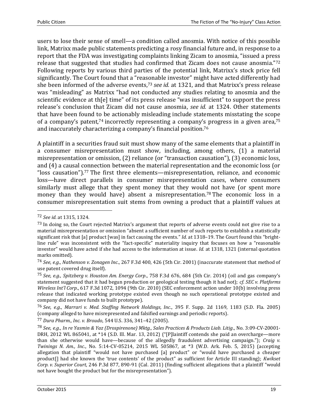users to lose their sense of smell—a condition called anosmia. With notice of this possible link, Matrixx made public statements predicting a rosy financial future and, in response to a report that the FDA was investigating complaints linking Zicam to anosmia, "issued a press release that suggested that studies had confirmed that Zicam does not cause anosmia."<sup>72</sup> Following reports by various third parties of the potential link, Matrixx's stock price fell significantly. The Court found that a "reasonable investor" might have acted differently had she been informed of the adverse events,<sup>73</sup> *see id.* at 1321, and that Matrixx's press release was "misleading" as Matrixx "had not conducted any studies relating to anosmia and the scientific evidence at th[e] time" of its press release "was insufficient" to support the press release's conclusion that Zicam did not cause anosmia, *see id.* at 1324. Other statements that have been found to be actionably misleading include statements misstating the scope of a company's patent,<sup>74</sup> incorrectly representing a company's progress in a given area,<sup>75</sup> and inaccurately characterizing a company's financial position.<sup>76</sup>

A plaintiff in a securities fraud suit must show many of the same elements that a plaintiff in a consumer misrepresentation must show, including, among others, (1) a material misrepresentation or omission, (2) reliance (or "transaction causation"), (3) economic loss, and (4) a causal connection between the material representation and the economic loss (or "loss causation").<sup>77</sup> The first three elements—misrepresentation, reliance, and economic loss—have direct parallels in consumer misrepresentation cases, where consumers similarly must allege that they spent money that they would not have (or spent more money than they would have) absent a misrepresentation.<sup>78</sup> The economic loss in a consumer misrepresentation suit stems from owning a product that a plaintiff values at

 $\overline{\phantom{0}}$ 

<sup>72</sup> *See id.* at 1315, 1324.

 $^{73}$  In doing so, the Court rejected Matrixx's argument that reports of adverse events could not give rise to a material misrepresentation or omission "absent a sufficient number of such reports to establish a statistically significant risk that [a] product [was] in fact causing the events." *Id.* at 1318–19. The Court found this "brightline rule" was inconsistent with the "fact-specific" materiality inquiry that focuses on how a "reasonable investor" would have acted if she had access to the information at issue. *Id.* at 1318, 1321 (internal quotation marks omitted).

<sup>74</sup> *See*, *e.g*., *Nathenson v. Zonagen Inc*., 267 F.3d 400, 426 (5th Cir. 2001) (inaccurate statement that method of use patent covered drug itself).

<sup>75</sup> *See*, *e.g*., *Spitzberg v. Houston Am. Energy Corp*., 758 F.3d 676, 684 (5th Cir. 2014) (oil and gas company's statement suggested that it had begun production or geological testing though it had not); *cf*. *SEC v. Platforms Wireless Int'l Corp*., 617 F.3d 1072, 1094 (9th Cir. 2010) (SEC enforcement action under 10(b) involving press release that indicated working prototype existed even though no such operational prototype existed and company did not have funds to built prototype).

<sup>76</sup> *See*, *e.g*., *Marrari v. Med. Staffing Network Holdings, Inc*., 395 F. Supp. 2d 1169, 1183 (S.D. Fla. 2005) (company alleged to have misrepresented and falsified earnings and periodic reports).

<sup>77</sup> *Dura Pharm., Inc. v. Broudo*, 544 U.S. 336, 341–42 (2005).

<sup>78</sup> *See*, *e.g*., *In re Yasmin & Yaz (Drospirenone) Mktg., Sales Practices & Products Liab. Litig*., No. 3:09-CV-20001- DRH, 2012 WL 865041, at \*14 (S.D. Ill. Mar. 13, 2012) ("[P]laintiff contends she paid an overcharge—more than she otherwise would have—because of the allegedly fraudulent advertising campaign."); *Craig v. Twinings N. Am., Inc*., No. 5:14-CV-05214, 2015 WL 505867, at \*3 (W.D. Ark. Feb. 5, 2015) (accepting allegation that plaintiff "would not have purchased [a] product" or "would have purchased a cheaper product[] had she known the 'true contents' of the product" as sufficient for Article III standing); *Kwikset Corp. v. Superior Court*, 246 P.3d 877, 890-91 (Cal. 2011) (finding sufficient allegations that a plaintiff "would not have bought the product but for the misrepresentation").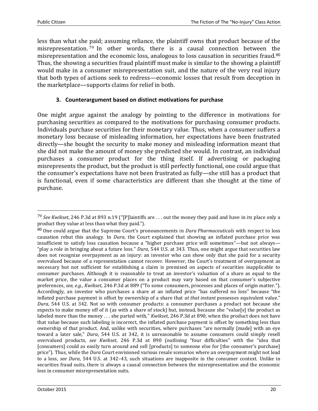less than what she paid; assuming reliance, the plaintiff owns that product because of the misrepresentation. <sup>79</sup> In other words, there is a causal connection between the misrepresentation and the economic loss, analogous to loss causation in securities fraud.<sup>80</sup> Thus, the showing a securities fraud plaintiff must make is similar to the showing a plaintiff would make in a consumer misrepresentation suit, and the nature of the very real injury that both types of actions seek to redress—economic losses that result from deception in the marketplace—supports claims for relief in both.

## **3. Counterargument based on distinct motivations for purchase**

One might argue against the analogy by pointing to the difference in motivations for purchasing securities as compared to the motivations for purchasing consumer products. Individuals purchase securities for their monetary value. Thus, when a consumer suffers a monetary loss because of misleading information, her expectations have been frustrated directly—she bought the security to make money and misleading information meant that she did not make the amount of money she predicted she would. In contrast, an individual purchases a consumer product for the thing itself. If advertising or packaging misrepresents the product, but the product is still perfectly functional, one could argue that the consumer's expectations have not been frustrated as fully—she still has a product that is functional, even if some characteristics are different than she thought at the time of purchase.

 $\overline{\phantom{0}}$ 

<sup>79</sup> *See Kwikset*, 246 P.3d at 893 n.19 ("[P]laintiffs are . . . out the money they paid and have in its place only a product they value at less than what they paid.").

<sup>80</sup> One could argue that the Supreme Court's pronouncements in *Dura Pharmaceuticals* with respect to loss causation rebut this analogy. In *Dura*, the Court explained that showing an inflated purchase price was insufficient to satisfy loss causation because a "higher purchase price will sometimes"—but not always— "play a role in bringing about a future loss." *Dura*, 544 U.S. at 343. Thus, one might argue that securities law does not recognize overpayment as an injury: an investor who can show only that she paid for a security overvalued because of a representation cannot recover. However, the Court's treatment of overpayment as necessary but not sufficient for establishing a claim is premised on aspects of securities inapplicable to consumer purchases. Although it is reasonable to treat an investor's valuation of a share as equal to the market price, the value a consumer places on a product may vary based on that consumer's subjective preferences, *see, e.g.*, *Kwikset*, 246 P.3d at 889 ("To some consumers, processes and places of origin matter."). Accordingly, an investor who purchases a share at an inflated price "has suffered no loss" because "the inflated purchase payment is offset by ownership of a share that *at that instant* possesses equivalent value." *Dura*, 544 U.S. at 342. Not so with consumer products: a consumer purchases a product not because she expects to make money off of it (as with a share of stock) but, instead, because she "value[s] the product as labeled more than the money . . . she parted with," *Kwikset*, 246 P.3d at 890; when the product does not have that value because such labeling is incorrect, the inflated purchase payment is offset by something less than ownership of that product. And, unlike with securities, where purchases "are normally [made] with an eye toward a later sale," *Dura*, 544 U.S. at 342, it is unreasonable to assume consumers could simply resell overvalued products, *see Kwikset*, 246 P.3d at 890 (outlining "four difficulties" with the "idea that [consumers] could as easily turn around and sell [products] to someone else for [the consumer's purchase] price"). Thus, while the *Dura* Court envisioned various resale scenarios where an overpayment might not lead to a loss, *see Dura*, 544 U.S. at 342–43, such situations are inapposite in the consumer context. Unlike in securities fraud suits, there is always a causal connection between the misrepresentation and the economic loss in consumer misrepresentation suits.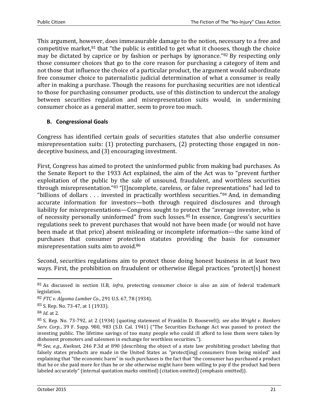This argument, however, does immeasurable damage to the notion, necessary to a free and competitive market, $81$  that "the public is entitled to get what it chooses, though the choice may be dictated by caprice or by fashion or perhaps by ignorance."<sup>82</sup> By respecting only those consumer choices that go to the core reason for purchasing a category of item and not those that influence the choice of a particular product, the argument would subordinate free consumer choice to paternalistic judicial determination of what a consumer is really after in making a purchase. Though the reasons for purchasing securities are not identical to those for purchasing consumer products, use of this distinction to undercut the analogy between securities regulation and misrepresentation suits would, in undermining consumer choice as a general matter, seem to prove too much.

## **B. Congressional Goals**

Congress has identified certain goals of securities statutes that also underlie consumer misrepresentation suits: (1) protecting purchasers, (2) protecting those engaged in nondeceptive business, and (3) encouraging investment.

First, Congress has aimed to protect the uninformed public from making bad purchases. As the Senate Report to the 1933 Act explained, the aim of the Act was to "prevent further exploitation of the public by the sale of unsound, fraudulent, and worthless securities through misrepresentation."<sup>83</sup> "[I]ncomplete, careless, or false representations" had led to "billions of dollars . . . invested in practically worthless securities."<sup>84</sup> And, in demanding accurate information for investors—both through required disclosures and through liability for misrepresentations—Congress sought to protect the "average investor, who is of necessity personally uninformed" from such losses.<sup>85</sup> In essence, Congress's securities regulations seek to prevent purchases that would not have been made (or would not have been made at that price) absent misleading or incomplete information—the same kind of purchases that consumer protection statutes providing the basis for consumer misrepresentation suits aim to avoid.<sup>86</sup>

Second, securities regulations aim to protect those doing honest business in at least two ways. First, the prohibition on fraudulent or otherwise illegal practices "protect[s] honest

<sup>81</sup> As discussed in section II.B, *infra*, protecting consumer choice is also an aim of federal trademark legislation.

<sup>82</sup> *FTC v. Algoma Lumber Co*., 291 U.S. 67, 78 (1934).

<sup>83</sup> S. Rep. No. 73-47, at 1 (1933).

<sup>84</sup> *Id*. at 2.

<sup>85</sup> S. Rep. No. 73-792, at 2 (1934) (quoting statement of Franklin D. Roosevelt); *see also Wright v. Bankers Serv. Corp.*, 39 F. Supp. 980, 983 (S.D. Cal. 1941) ("The Securities Exchange Act was passed to protect the investing public. The lifetime savings of too many people who could ill afford to lose them were taken by dishonest promoters and salesmen in exchange for worthless securities.").

<sup>86</sup> *See*, *e.g*., *Kwikset*, 246 P.3d at 890 (describing the object of a state law prohibiting product labeling that falsely states products are made in the United States as "protect[ing] consumers from being misled" and explaining that "the economic harm" in such purchases is the fact that "the consumer has purchased a product that he or she paid more for than he or she otherwise might have been willing to pay if the product had been labeled accurately" (internal quotation marks omitted) (citation omitted) (emphasis omitted)).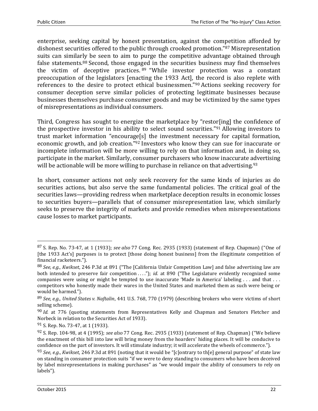enterprise, seeking capital by honest presentation, against the competition afforded by dishonest securities offered to the public through crooked promotion."<sup>87</sup> Misrepresentation suits can similarly be seen to aim to purge the competitive advantage obtained through false statements.<sup>88</sup> Second, those engaged in the securities business may find themselves the victim of deceptive practices. <sup>89</sup> "While investor protection was a constant preoccupation of the legislators [enacting the 1933 Act], the record is also replete with references to the desire to protect ethical businessmen."<sup>90</sup> Actions seeking recovery for consumer deception serve similar policies of protecting legitimate businesses because businesses themselves purchase consumer goods and may be victimized by the same types of misrepresentations as individual consumers.

Third, Congress has sought to energize the marketplace by "restor[ing] the confidence of the prospective investor in his ability to select sound securities."<sup>91</sup> Allowing investors to trust market information "encourage[s] the investment necessary for capital formation, economic growth, and job creation."<sup>92</sup> Investors who know they can sue for inaccurate or incomplete information will be more willing to rely on that information and, in doing so, participate in the market. Similarly, consumer purchasers who know inaccurate advertising will be actionable will be more willing to purchase in reliance on that advertising.<sup>93</sup>

In short, consumer actions not only seek recovery for the same kinds of injuries as do securities actions, but also serve the same fundamental policies. The critical goal of the securities laws—providing redress when marketplace deception results in economic losses to securities buyers—parallels that of consumer misrepresentation law, which similarly seeks to preserve the integrity of markets and provide remedies when misrepresentations cause losses to market participants.

<sup>87</sup> S. Rep. No. 73-47, at 1 (1933); *see also* 77 Cong. Rec. 2935 (1933) (statement of Rep. Chapman) ("One of [the 1933 Act's] purposes is to protect [those doing honest business] from the illegitimate competition of financial racketeers.").

<sup>88</sup> *See, e.g.*, *Kwikset*, 246 P.3d at 891 ("The [California Unfair Competition Law] and false advertising law are both intended to preserve fair competition ...."); *id.* at 890 ("The Legislature evidently recognized some companies were using or might be tempted to use inaccurate 'Made in America' labeling . . . and that . . . competitors who honestly made their wares in the United States and marketed them as such were being or would be harmed.").

<sup>89</sup> *See, e.g.*, *United States v. Naftalin*, 441 U.S. 768, 770 (1979) (describing brokers who were victims of short selling scheme).

<sup>90</sup> *Id.* at 776 (quoting statements from Representatives Kelly and Chapman and Senators Fletcher and Norbeck in relation to the Securities Act of 1933).

<sup>91</sup> S. Rep. No. 73-47, at 1 (1933).

<sup>92</sup> S. Rep. 104-98, at 4 (1995); *see also* 77 Cong. Rec. 2935 (1933) (statement of Rep. Chapman) ("We believe the enactment of this bill into law will bring money from the hoarders' hiding places. It will be conducive to confidence on the part of investors. It will stimulate industry; it will accelerate the wheels of commerce.").

<sup>93</sup> *See*, *e.g*., *Kwikset*, 246 P.3d at 891 (noting that it would be "[c]ontrary to th[e] general purpose" of state law on standing in consumer protection suits "if we were to deny standing to consumers who have been deceived by label misrepresentations in making purchases" as "we would impair the ability of consumers to rely on labels").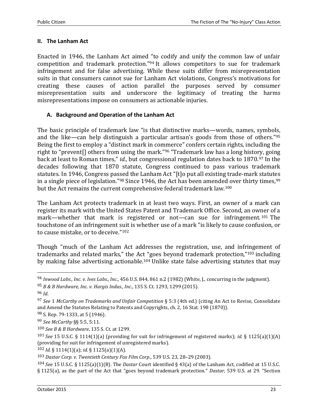#### **II. The Lanham Act**

Enacted in 1946, the Lanham Act aimed "to codify and unify the common law of unfair competition and trademark protection."<sup>94</sup> It allows competitors to sue for trademark infringement and for false advertising. While these suits differ from misrepresentation suits in that consumers cannot sue for Lanham Act violations, Congress's motivations for creating these causes of action parallel the purposes served by consumer misrepresentation suits and underscore the legitimacy of treating the harms misrepresentations impose on consumers as actionable injuries.

#### **A. Background and Operation of the Lanham Act**

The basic principle of trademark law "is that distinctive marks—words, names, symbols, and the like—can help distinguish a particular artisan's goods from those of others."<sup>95</sup> Being the first to employ a "distinct mark in commerce" confers certain rights, including the right to "prevent[] others from using the mark."<sup>96</sup> "Trademark law has a long history, going back at least to Roman times," *id.*, but congressional regulation dates back to 1870.<sup>97</sup> In the decades following that 1870 statute, Congress continued to pass various trademark statutes. In 1946, Congress passed the Lanham Act "[t]o put all existing trade-mark statutes in a single piece of legislation."<sup>98</sup> Since 1946, the Act has been amended over thirty times,  $99$ but the Act remains the current comprehensive federal trademark law.<sup>100</sup>

The Lanham Act protects trademark in at least two ways. First, an owner of a mark can register its mark with the United States Patent and Trademark Office. Second, an owner of a mark—whether that mark is registered or not—can sue for infringement.<sup>101</sup> The touchstone of an infringement suit is whether use of a mark "is likely to cause confusion, or to cause mistake, or to deceive."<sup>102</sup>

Though "much of the Lanham Act addresses the registration, use, and infringement of trademarks and related marks," the Act "goes beyond trademark protection,"<sup>103</sup> including by making false advertising actionable.<sup>104</sup> Unlike state false advertising statutes that may

 $\overline{\phantom{0}}$ 

<sup>94</sup> *Inwood Labs., Inc. v. Ives Labs., Inc*., 456 U.S. 844, 861 n.2 (1982) (White, J., concurring in the judgment).

<sup>95</sup> *B & B Hardware, Inc. v. Hargis Indus., Inc*., 135 S. Ct. 1293, 1299 (2015).

<sup>96</sup> *Id*.

<sup>97</sup> *See* 1 *McCarthy on Trademarks and Unfair Competition* § 5:3 (4th ed.) (citing An Act to Revise, Consolidate and Amend the Statutes Relating to Patents and Copyrights, ch. 2, 16 Stat. 198 (1870)).

<sup>98</sup> S. Rep. 79-1333, at 5 (1946).

<sup>99</sup> *See McCarthy* §§ 5:5, 5:11.

<sup>100</sup> *See B & B Hardware*, 135 S. Ct. at 1299.

<sup>101</sup> *See* 15 U.S.C. § 1114(1)(a) (providing for suit for infringement of registered marks); *id.* § 1125(a)(1)(A) (providing for suit for infringement of unregistered marks).

<sup>102</sup> *Id.* § 1114(1)(a); *id.* § 1125(a)(1)(A).

<sup>103</sup> *Dastar Corp. v. Twentieth Century Fox Film Corp*., 539 U.S. 23, 28–29 (2003).

<sup>104</sup> *See* 15 U.S.C. § 1125(a)(1)(B). The *Dastar* Court identified § 43(a) of the Lanham Act, codified at 15 U.S.C. § 1125(a), as the part of the Act that "goes beyond trademark protection." *Dastar*, 539 U.S. at 29. "Section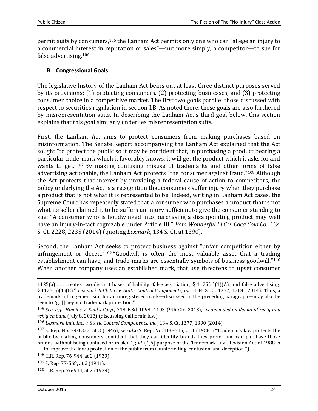permit suits by consumers,<sup>105</sup> the Lanham Act permits only one who can "allege an injury to a commercial interest in reputation or sales"—put more simply, a competitor—to sue for false advertising.<sup>106</sup>

## **B. Congressional Goals**

The legislative history of the Lanham Act bears out at least three distinct purposes served by its provisions: (1) protecting consumers, (2) protecting businesses, and (3) protecting consumer choice in a competitive market. The first two goals parallel those discussed with respect to securities regulation in section I.B. As noted there, these goals are also furthered by misrepresentation suits. In describing the Lanham Act's third goal below, this section explains that this goal similarly underlies misrepresentation suits.

First, the Lanham Act aims to protect consumers from making purchases based on misinformation. The Senate Report accompanying the Lanham Act explained that the Act sought "to protect the public so it may be confident that, in purchasing a product bearing a particular trade-mark which it favorably knows, it will get the product which it asks for and wants to get."<sup>107</sup> By making confusing misuse of trademarks and other forms of false advertising actionable, the Lanham Act protects "the consumer against fraud."<sup>108</sup> Although the Act protects that interest by providing a federal cause of action to competitors, the policy underlying the Act is a recognition that consumers suffer injury when they purchase a product that is not what it is represented to be. Indeed, writing in Lanham Act cases, the Supreme Court has repeatedly stated that a consumer who purchases a product that is not what its seller claimed it to be suffers an injury sufficient to give the consumer standing to sue: "A consumer who is hoodwinked into purchasing a disappointing product may well have an injury-in-fact cognizable under Article III." *Pom Wonderful LLC v. Coca Cola Co.*, 134 S. Ct. 2228, 2235 (2014) (quoting *Lexmark*, 134 S. Ct. at 1390).

Second, the Lanham Act seeks to protect business against "unfair competition either by infringement or deceit."<sup>109</sup> "Goodwill is often the most valuable asset that a trading establishment can have, and trade-marks are essentially symbols of business goodwill."<sup>110</sup> When another company uses an established mark, that use threatens to upset consumer

<sup>1125(</sup>a) ... creates two distinct bases of liability: false association, § 1125(a)(1)(A), and false advertising, § 1125(a)(1)(B)." *Lexmark Int'l, Inc. v. Static Control Components, Inc*., 134 S. Ct. 1377, 1384 (2014). Thus, a trademark infringement suit for an unregistered mark—discussed in the preceding paragraph—may also be seen to "go[] beyond trademark protection."

<sup>105</sup> *See, e.g.*, *Hinojos v. Kohl's Corp*., 718 F.3d 1098, 1103 (9th Cir. 2013), *as amended on denial of reh'g and reh'g en banc* (July 8, 2013) (discussing California law).

<sup>106</sup> *Lexmark Int'l, Inc. v. Static Control Components, Inc*., 134 S. Ct. 1377, 1390 (2014).

<sup>107</sup> S. Rep. No. 79-1333, at 3 (1946); *see also* S. Rep. No. 100-515, at 4 (1988) ("Trademark law protects the public by making consumers confident that they can identify brands they prefer and can purchase those brands without being confused or misled."); *id.* ("[A] purpose of the Trademark Law Revision Act of 1988 is . . . to improve the law's protection of the public from counterfeiting, confusion, and deception.").

<sup>108</sup> H.R. Rep. 76-944, at 2 (1939).

<sup>109</sup> S. Rep. 77-568, at 2 (1941).

<sup>110</sup> H.R. Rep. 76-944, at 2 (1939).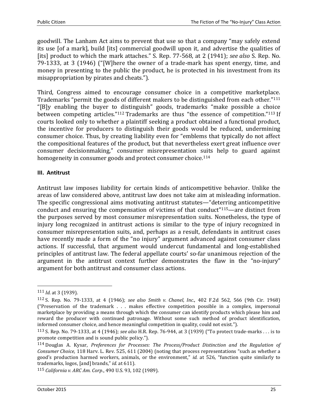goodwill. The Lanham Act aims to prevent that use so that a company "may safely extend its use [of a mark], build [its] commercial goodwill upon it, and advertise the qualities of [its] product to which the mark attaches." S. Rep. 77-568, at 2 (1941); *see also* S. Rep. No. 79-1333, at 3 (1946) ("[W]here the owner of a trade-mark has spent energy, time, and money in presenting to the public the product, he is protected in his investment from its misappropriation by pirates and cheats.").

Third, Congress aimed to encourage consumer choice in a competitive marketplace. Trademarks "permit the goods of different makers to be distinguished from each other."<sup>111</sup> "[B]y enabling the buyer to distinguish" goods, trademarks "make possible a choice between competing articles."<sup>112</sup> Trademarks are thus "the essence of competition."<sup>113</sup> If courts looked only to whether a plaintiff seeking a product obtained a functional product, the incentive for producers to distinguish their goods would be reduced, undermining consumer choice. Thus, by creating liability even for "emblems that typically do not affect the compositional features of the product, but that nevertheless exert great influence over consumer decisionmaking," consumer misrepresentation suits help to guard against homogeneity in consumer goods and protect consumer choice.<sup>114</sup>

## **III. Antitrust**

Antitrust law imposes liability for certain kinds of anticompetitive behavior. Unlike the areas of law considered above, antitrust law does not take aim at misleading information. The specific congressional aims motivating antitrust statutes—"deterring anticompetitive conduct and ensuring the compensation of victims of that conduct"115—are distinct from the purposes served by most consumer misrepresentation suits. Nonetheless, the type of injury long recognized in antitrust actions is similar to the type of injury recognized in consumer misrepresentation suits, and, perhaps as a result, defendants in antitrust cases have recently made a form of the "no injury" argument advanced against consumer class actions. If successful, that argument would undercut fundamental and long-established principles of antitrust law. The federal appellate courts' so-far unanimous rejection of the argument in the antitrust context further demonstrates the flaw in the "no-injury" argument for both antitrust and consumer class actions.

 $\overline{a}$ 

<sup>111</sup> *Id*. at 3 (1939).

<sup>112</sup> S. Rep. No. 79-1333, at 4 (1946); *see also Smith v. Chanel, Inc*., 402 F.2d 562, 566 (9th Cir. 1968) ("Preservation of the trademark . . . makes effective competition possible in a complex, impersonal marketplace by providing a means through which the consumer can identify products which please him and reward the producer with continued patronage. Without some such method of product identification, informed consumer choice, and hence meaningful competition in quality, could not exist.").

<sup>113</sup> S. Rep. No. 79-1333, at 4 (1946); *see also* H.R. Rep. 76-944, at 3 (1939) ("To protect trade-marks . . . is to promote competition and is sound public policy.").

<sup>114</sup> Douglas A. Kysar, *Preferences for Processes: The Process/Product Distinction and the Regulation of Consumer Choice*, 118 Harv. L. Rev. 525, 611 (2004) (noting that process representations "such as whether a good's production harmed workers, animals, or the environment," *id.* at 526, "function quite similarly to trademarks, logos, [and] brands," *id.* at 611).

<sup>115</sup> *California v. ARC Am. Corp*., 490 U.S. 93, 102 (1989).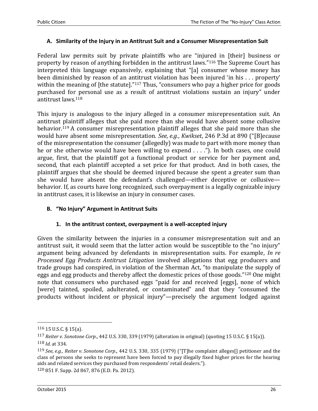#### **A. Similarity of the Injury in an Antitrust Suit and a Consumer Misrepresentation Suit**

Federal law permits suit by private plaintiffs who are "injured in [their] business or property by reason of anything forbidden in the antitrust laws."<sup>116</sup> The Supreme Court has interpreted this language expansively, explaining that "[a] consumer whose money has been diminished by reason of an antitrust violation has been injured 'in his . . . property' within the meaning of [the statute]."<sup>117</sup> Thus, "consumers who pay a higher price for goods purchased for personal use as a result of antitrust violations sustain an injury" under antitrust laws.<sup>118</sup>

This injury is analogous to the injury alleged in a consumer misrepresentation suit. An antitrust plaintiff alleges that she paid more than she would have absent some collusive behavior.<sup>119</sup> A consumer misrepresentation plaintiff alleges that she paid more than she would have absent some misrepresentation. *See, e.g.*, *Kwikset*, 246 P.3d at 890 ("[B]ecause of the misrepresentation the consumer (allegedly) was made to part with more money than he or she otherwise would have been willing to expend . . . ."). In both cases, one could argue, first, that the plaintiff got a functional product or service for her payment and, second, that each plaintiff accepted a set price for that product. And in both cases, the plaintiff argues that she should be deemed injured because she spent a greater sum than she would have absent the defendant's challenged—either deceptive or collusive behavior. If, as courts have long recognized, such overpayment is a legally cognizable injury in antitrust cases, it is likewise an injury in consumer cases.

## **B. "No Injury" Argument in Antitrust Suits**

## **1. In the antitrust context, overpayment is a well-accepted injury**

Given the similarity between the injuries in a consumer misrepresentation suit and an antitrust suit, it would seem that the latter action would be susceptible to the "no injury" argument being advanced by defendants in misrepresentation suits. For example, *In re Processed Egg Products Antitrust Litigation* involved allegations that egg producers and trade groups had conspired, in violation of the Sherman Act, "to manipulate the supply of eggs and egg products and thereby affect the domestic prices of those goods."<sup>120</sup> One might note that consumers who purchased eggs "paid for and received [eggs], none of which [were] tainted, spoiled, adulterated, or contaminated" and that they "consumed the products without incident or physical injury"—precisely the argument lodged against

<sup>116</sup> 15 U.S.C. § 15(a).

<sup>117</sup> *Reiter v. Sonotone Corp*., 442 U.S. 330, 339 (1979) (alteration in original) (quoting 15 U.S.C. § 15(a)). 118 *Id*. at 334.

<sup>119</sup> *See, e.g.*, *Reiter v. Sonotone Corp*., 442 U.S. 330, 335 (1979) ("[T]he complaint alleges[] petitioner and the class of persons she seeks to represent have been forced to pay illegally fixed higher prices for the hearing aids and related services they purchased from respondents' retail dealers.").

<sup>120</sup> 851 F. Supp. 2d 867, 876 (E.D. Pa. 2012).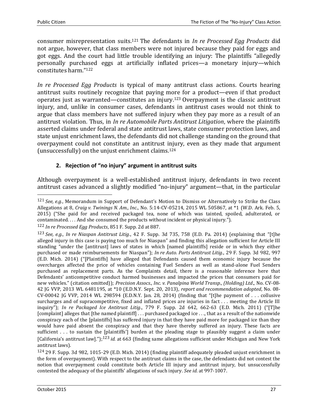l

consumer misrepresentation suits.<sup>121</sup> The defendants in *In re Processed Egg Products* did not argue, however, that class members were not injured because they paid for eggs and got eggs. And the court had little trouble identifying an injury: The plaintiffs "allegedly personally purchased eggs at artificially inflated prices—a monetary injury—which constitutes harm."<sup>122</sup>

*In re Processed Egg Products* is typical of many antitrust class actions. Courts hearing antitrust suits routinely recognize that paying more for a product—even if that product operates just as warranted—constitutes an injury.<sup>123</sup> Overpayment is the classic antitrust injury, and, unlike in consumer cases, defendants in antitrust cases would not think to argue that class members have not suffered injury when they pay more as a result of an antitrust violation. Thus, in *In re Automobile Parts Antitrust Litigation*, where the plaintiffs asserted claims under federal and state antitrust laws, state consumer protection laws, and state unjust enrichment laws, the defendants did not challenge standing on the ground that overpayment could not constitute an antitrust injury, even as they made that argument (unsuccessfully) on the unjust enrichment claims.<sup>124</sup>

# **2. Rejection of "no injury" argument in antitrust suits**

Although overpayment is a well-established antitrust injury, defendants in two recent antitrust cases advanced a slightly modified "no-injury" argument—that, in the particular

<sup>121</sup> *See, e.g.*, Memorandum in Support of Defendant's Motion to Dismiss or Alternatively to Strike the Class Allegations at 8, *Craig v. Twinings N. Am., Inc*., No. 5:14-CV-05214, 2015 WL 505867, at \*1 (W.D. Ark. Feb. 5, 2015) ("She paid for and received packaged tea, none of which was tainted, spoiled, adulterated, or contaminated. . . . And she consumed the products without incident or physical injury.").

<sup>122</sup> *In re Processed Egg Products*, 851 F. Supp. 2d at 887.

<sup>123</sup> *See, e.g.*, *In re Niaspan Antitrust Litig*., 42 F. Supp. 3d 735, 758 (E.D. Pa. 2014) (explaining that "[t]he alleged injury in this case is paying too much for Niaspan" and finding this allegation sufficient for Article III standing "under the [antitrust] laws of states in which [named plaintiffs] reside or in which they either purchased or made reimbursements for Niaspan"); *In re Auto. Parts Antitrust Litig*., 29 F. Supp. 3d 982, 997 (E.D. Mich. 2014) ("[Plaintiffs] have alleged that Defendants caused them economic injury because the overcharges affected the price of vehicles containing Fuel Senders as well as stand-alone Fuel Senders purchased as replacement parts. As the Complaints detail, there is a reasonable inference here that Defendants' anticompetitive conduct harmed businesses and impacted the prices that consumers paid for new vehicles." (citation omitted)); *Precision Assocs., Inc. v. Panalpina World Transp., (Holding) Ltd*., No. CV-08- 42 JG VVP, 2013 WL 6481195, at \*10 (E.D.N.Y. Sept. 20, 2013), *report and recommendation adopted*, No. 08- CV-00042 IG VVP, 2014 WL 298594 (E.D.N.Y. Jan. 28, 2014) (finding that "[t]he payment of  $\dots$  collusive surcharges and of supracompetitive, fixed and inflated prices are injuries in fact . . . meeting the Article III inquiry"); *In re Packaged Ice Antitrust Litig*., 779 F. Supp. 2d 642, 662-63 (E.D. Mich. 2011) ("[T]he [complaint] alleges that [the named plaintiff] . . . purchased packaged ice . . ., that as a result of the nationwide conspiracy each of the [plaintiffs] has suffered injury in that they have paid more for packaged ice than they would have paid absent the conspiracy and that they have thereby suffered an injury. These facts are sufficient . . . to sustain the [plaintiffs'] burden at the pleading stage to plausibly suggest a claim under [California's antitrust law].");123 *id.* at 663 (finding same allegations sufficient under Michigan and New York antitrust laws).

<sup>124</sup> 29 F. Supp. 3d 982, 1015-29 (E.D. Mich. 2014) (finding plaintiff adequately pleaded unjust enrichment in the form of overpayment). With respect to the antitrust claims in the case, the defendants did not contest the notion that overpayment could constitute both Article III injury and antitrust injury, but unsuccessfully contested the adequacy of the plaintiffs' allegations of such injury. *See id*. at 997-1007.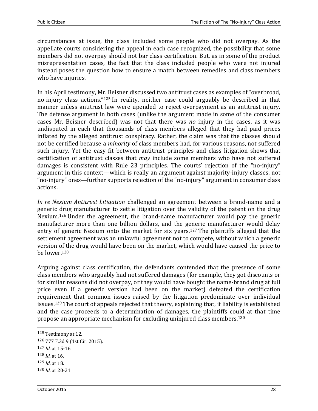circumstances at issue, the class included some people who did not overpay. As the appellate courts considering the appeal in each case recognized, the possibility that some members did not overpay should not bar class certification. But, as in some of the product misrepresentation cases, the fact that the class included people who were not injured instead poses the question how to ensure a match between remedies and class members who have injuries.

In his April testimony, Mr. Beisner discussed two antitrust cases as examples of "overbroad, no-injury class actions."<sup>125</sup> In reality, neither case could arguably be described in that manner unless antitrust law were upended to reject overpayment as an antitrust injury. The defense argument in both cases (unlike the argument made in some of the consumer cases Mr. Beisner described) was not that there was *no* injury in the cases, as it was undisputed in each that thousands of class members alleged that they had paid prices inflated by the alleged antitrust conspiracy. Rather, the claim was that the classes should not be certified because a *minority* of class members had, for various reasons, not suffered such injury. Yet the easy fit between antitrust principles and class litigation shows that certification of antitrust classes that *may* include some members who have not suffered damages is consistent with Rule 23 principles. The courts' rejection of the "no-injury" argument in this context—which is really an argument against majority-injury classes, not "no-injury" ones—further supports rejection of the "no-injury" argument in consumer class actions.

*In re Nexium Antitrust Litigation* challenged an agreement between a brand-name and a generic drug manufacturer to settle litigation over the validity of the patent on the drug Nexium.<sup>126</sup> Under the agreement, the brand-name manufacturer would pay the generic manufacturer more than one billion dollars, and the generic manufacturer would delay entry of generic Nexium onto the market for six years.<sup>127</sup> The plaintiffs alleged that the settlement agreement was an unlawful agreement not to compete, without which a generic version of the drug would have been on the market, which would have caused the price to be lower.<sup>128</sup>

Arguing against class certification, the defendants contended that the presence of some class members who arguably had not suffered damages (for example, they got discounts or for similar reasons did not overpay, or they would have bought the name-brand drug at full price even if a generic version had been on the market) defeated the certification requirement that common issues raised by the litigation predominate over individual issues.<sup>129</sup> The court of appeals rejected that theory, explaining that, if liability is established and the case proceeds to a determination of damages, the plaintiffs could at that time propose an appropriate mechanism for excluding uninjured class members.<sup>130</sup>

<sup>125</sup> Testimony at 12.

<sup>126</sup> 777 F.3d 9 (1st Cir. 2015).

<sup>127</sup> *Id*. at 15-16.

<sup>128</sup> *Id.* at 16.

<sup>129</sup> *Id*. at 18.

<sup>130</sup> *Id*. at 20-21.